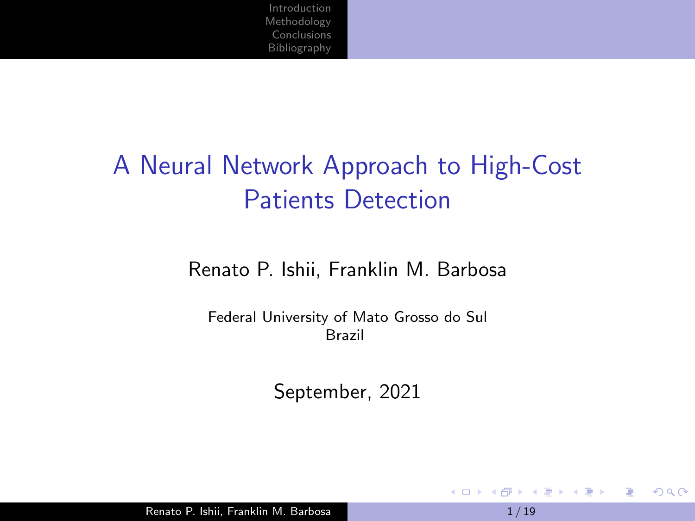# A Neural Network Approach to High-Cost Patients Detection

#### Renato P. Ishii, Franklin M. Barbosa

Federal University of Mato Grosso do Sul Brazil

September, 2021

Renato P. Ishii, Franklin M. Barbosa 1 1 / 19

そロト

 $\left\{ \left\vert \left\langle \left\langle \left\langle \mathbf{q} \right\rangle \right\rangle \right\rangle \right\vert \left\langle \mathbf{q} \right\rangle \right\vert \left\langle \mathbf{q} \right\rangle \right\vert \left\langle \mathbf{q} \right\rangle \right\vert \left\langle \mathbf{q} \right\rangle \right\vert \left\langle \mathbf{q} \right\rangle \left\langle \mathbf{q} \right\rangle \right\vert$ 

 $2990$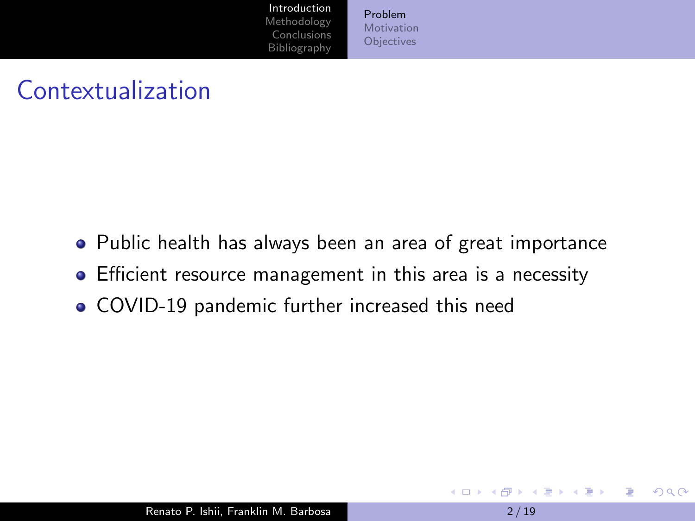[Problem](#page-1-0) [Motivation](#page-4-0) **[Objectives](#page-5-0)** 

# <span id="page-1-0"></span>Contextualization

- Public health has always been an area of great importance
- Efficient resource management in this area is a necessity
- COVID-19 pandemic further increased this need

and and

 $\mathcal{A} \ \overline{\mathcal{B}} \ \rightarrow \ \ \mathcal{A} \ \ \overline{\mathcal{B}} \ \ \mathcal{B} \quad \quad \mathcal{C}$ 

 $2990$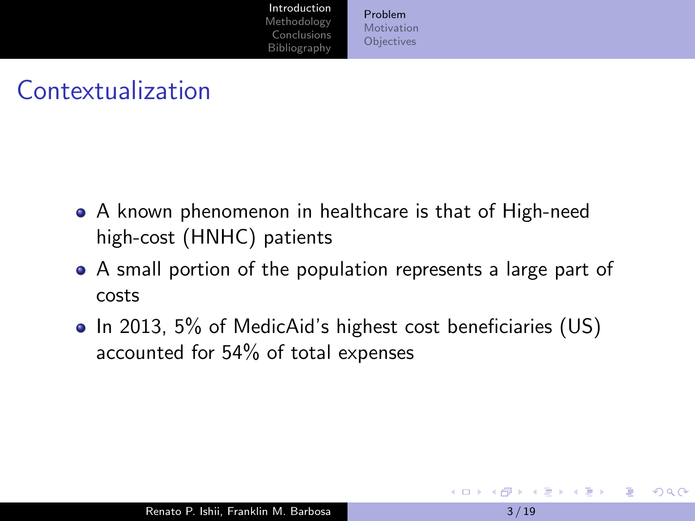[Problem](#page-1-0) [Motivation](#page-4-0) **[Objectives](#page-5-0)** 

### Contextualization

- A known phenomenon in healthcare is that of High-need high-cost (HNHC) patients
- A small portion of the population represents a large part of costs
- In 2013, 5% of MedicAid's highest cost beneficiaries (US) accounted for 54% of total expenses

 $2990$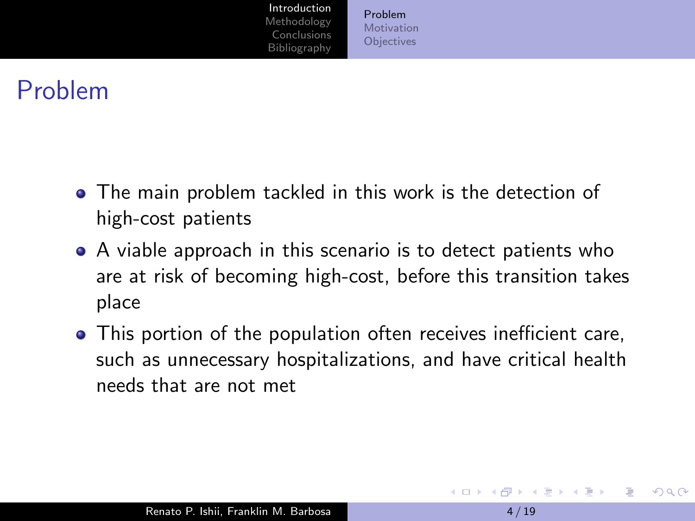[Problem](#page-1-0) [Motivation](#page-4-0) **[Objectives](#page-5-0)** 

### Problem

- The main problem tackled in this work is the detection of high-cost patients
- A viable approach in this scenario is to detect patients who are at risk of becoming high-cost, before this transition takes place
- This portion of the population often receives inefficient care, such as unnecessary hospitalizations, and have critical health needs that are not met

イ押 トイヨ トイヨ トー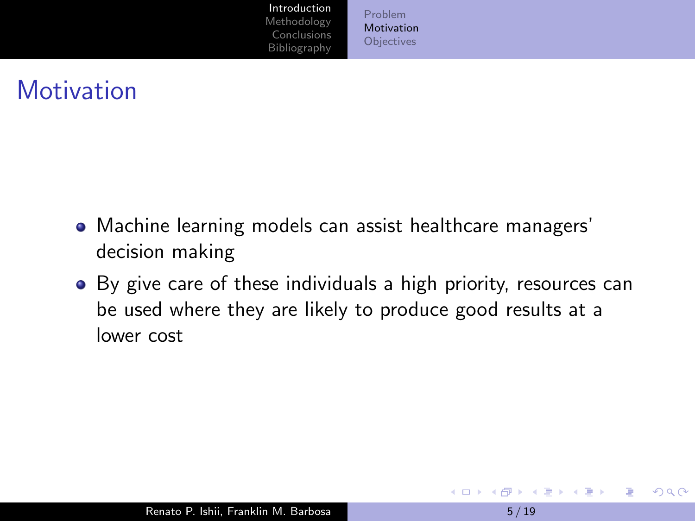[Problem](#page-1-0) [Motivation](#page-4-0) **[Objectives](#page-5-0)** 

### <span id="page-4-0"></span>**Motivation**

- Machine learning models can assist healthcare managers' decision making
- By give care of these individuals a high priority, resources can be used where they are likely to produce good results at a lower cost

**ALCOHOL:** 4 伺 ▶ 化重新润滑脂

 $2990$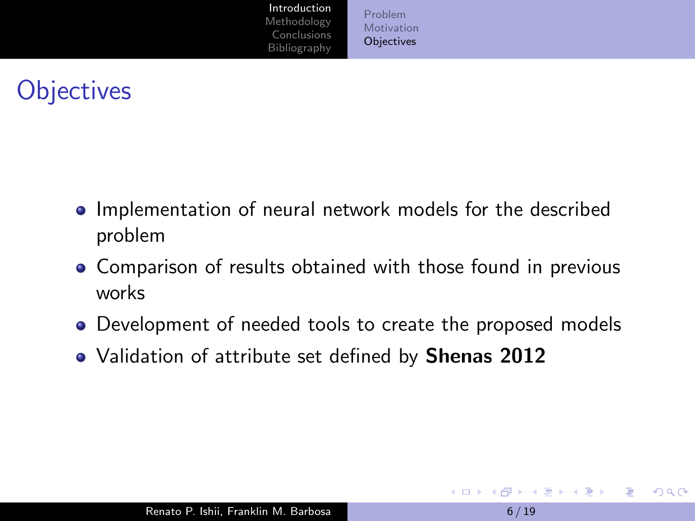[Problem](#page-1-0) [Motivation](#page-4-0) **[Objectives](#page-5-0)** 

# <span id="page-5-0"></span>**Objectives**

- Implementation of neural network models for the described problem
- Comparison of results obtained with those found in previous works
- Development of needed tools to create the proposed models
- Validation of attribute set defined by **Shenas 2012**

**ALCOHOL: Y** 

イ押 トイヨ トイヨト

э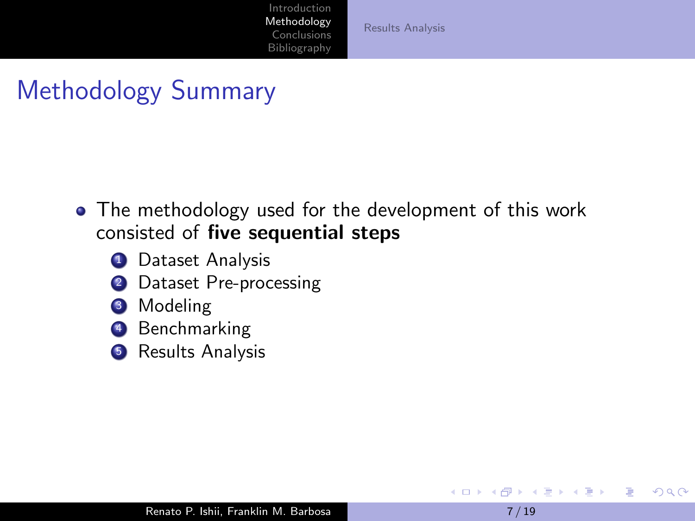[Results Analysis](#page-12-0)

# <span id="page-6-0"></span>Methodology Summary

- The methodology used for the development of this work consisted of five sequential steps
	- **1** Dataset Analysis
	- 2 Dataset Pre-processing
	- **3** Modeling
	- **Benchmarking**
	- **5** Results Analysis

4 17 18

重き メラメー

 $2990$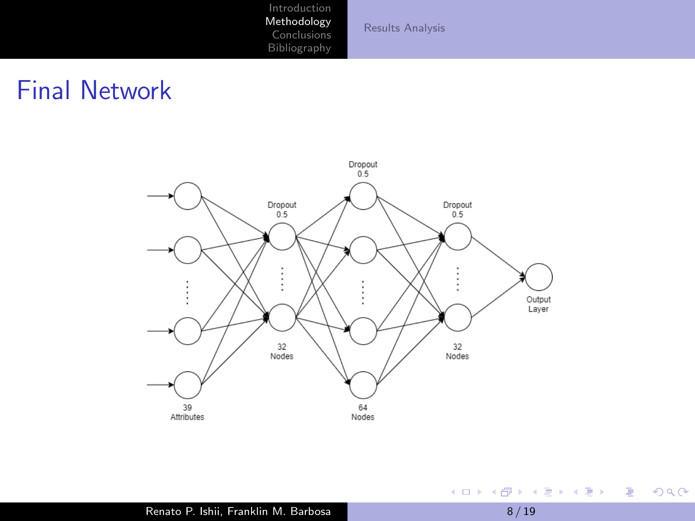[Results Analysis](#page-12-0)

### Final Network



È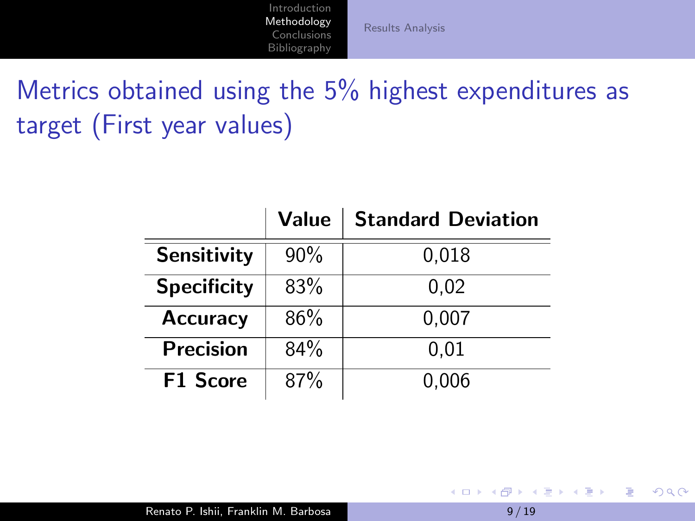[Results Analysis](#page-12-0)

Metrics obtained using the 5% highest expenditures as target (First year values)

|                    | Value | <b>Standard Deviation</b> |
|--------------------|-------|---------------------------|
| Sensitivity        | 90%   | 0,018                     |
| <b>Specificity</b> | 83%   | 0.02                      |
| <b>Accuracy</b>    | 86%   | 0,007                     |
| <b>Precision</b>   | 84%   | 0.01                      |
| <b>F1 Score</b>    | 87%   | 0,006                     |

4 冊 ▶

 $\mathcal{A}$  .

そロト

重き メラメー

E

 $QQ$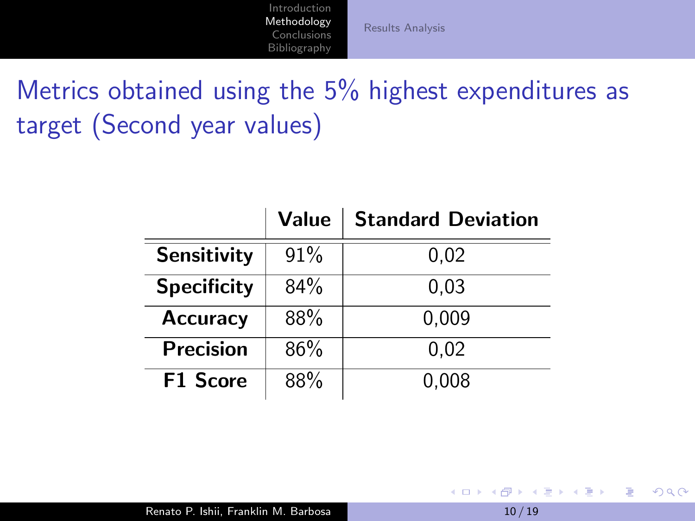[Results Analysis](#page-12-0)

Metrics obtained using the 5% highest expenditures as target (Second year values)

|                    | Value | <b>Standard Deviation</b> |
|--------------------|-------|---------------------------|
| Sensitivity        | 91%   | 0,02                      |
| <b>Specificity</b> | 84%   | 0.03                      |
| <b>Accuracy</b>    | 88%   | 0,009                     |
| <b>Precision</b>   | 86%   | 0,02                      |
| <b>F1 Score</b>    | 88%   | 0,008                     |

**K ロ ▶ K 御 ▶ K 君 ▶ K 君 ▶** 

E

 $QQ$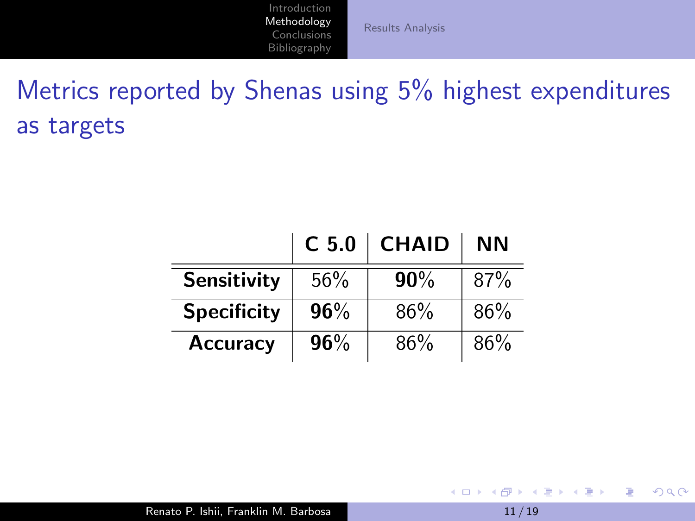[Results Analysis](#page-12-0)

Metrics reported by Shenas using 5% highest expenditures as targets

|                    | C <sub>5.0</sub> | <b>CHAID</b> | ΝN  |
|--------------------|------------------|--------------|-----|
| <b>Sensitivity</b> | 56%              | 90%          | 87% |
| <b>Specificity</b> | 96%              | 86%          | 86% |
| <b>Accuracy</b>    | 96%              | 86%          | 86% |

K ロ ▶ K @ ▶ K 결 ▶ K 결 ▶ ○ 결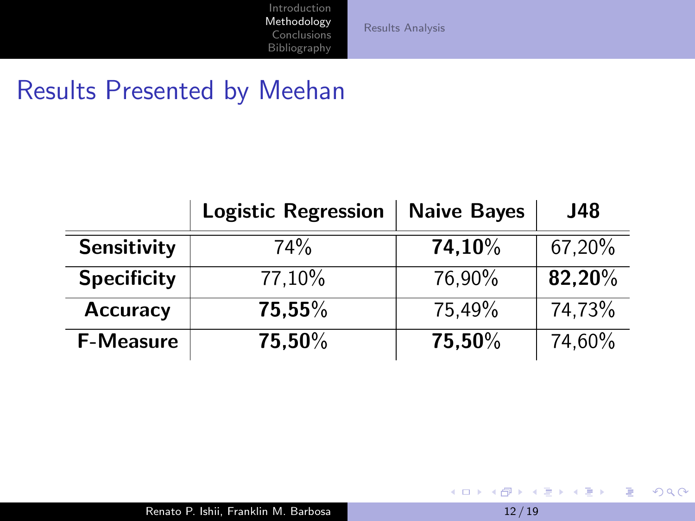[Results Analysis](#page-12-0)

### Results Presented by Meehan

|                    | <b>Logistic Regression</b> | <b>Naive Bayes</b> | J48    |
|--------------------|----------------------------|--------------------|--------|
| <b>Sensitivity</b> | 74%                        | 74,10%             | 67,20% |
| <b>Specificity</b> | 77,10%                     | 76.90%             | 82,20% |
| <b>Accuracy</b>    | 75.55%                     | 75,49%             | 74,73% |
| <b>F-Measure</b>   | 75.50%                     | 75,50%             | 74,60% |

メロメメ 御 メメ きょく モドー

目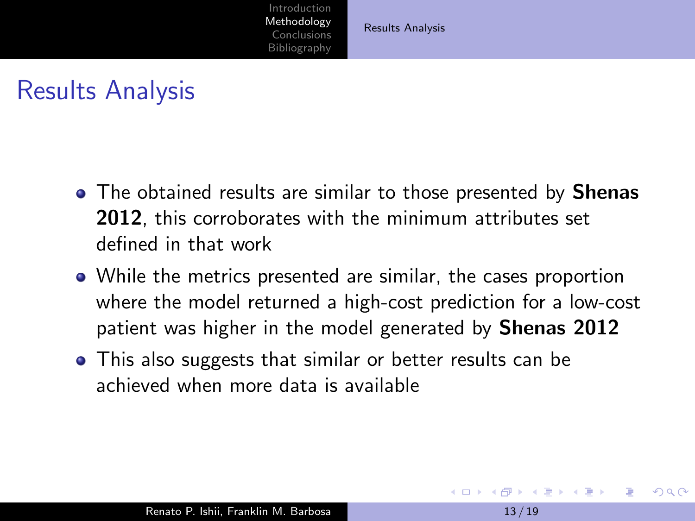[Results Analysis](#page-12-0)

### <span id="page-12-0"></span>Results Analysis

- The obtained results are similar to those presented by **Shenas** 2012, this corroborates with the minimum attributes set defined in that work
- While the metrics presented are similar, the cases proportion where the model returned a high-cost prediction for a low-cost patient was higher in the model generated by **Shenas 2012**
- This also suggests that similar or better results can be achieved when more data is available

**K 何 ▶ ス ヨ ▶ ス ヨ ▶**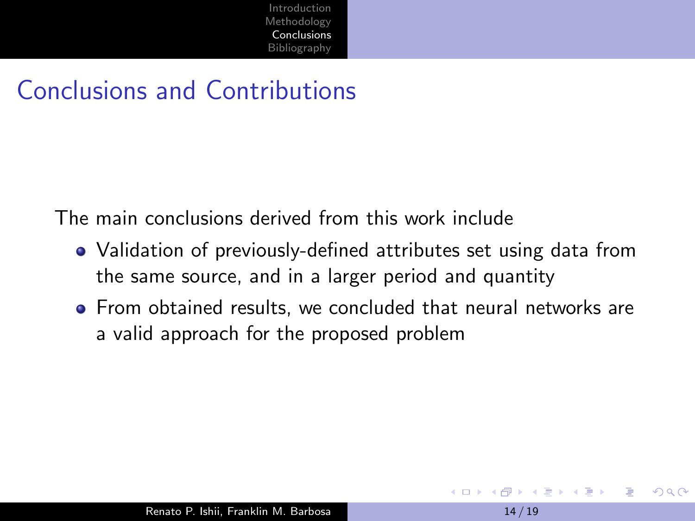### <span id="page-13-0"></span>Conclusions and Contributions

The main conclusions derived from this work include

- Validation of previously-defined attributes set using data from the same source, and in a larger period and quantity
- From obtained results, we concluded that neural networks are a valid approach for the proposed problem

医单位 医单位

 $\Omega$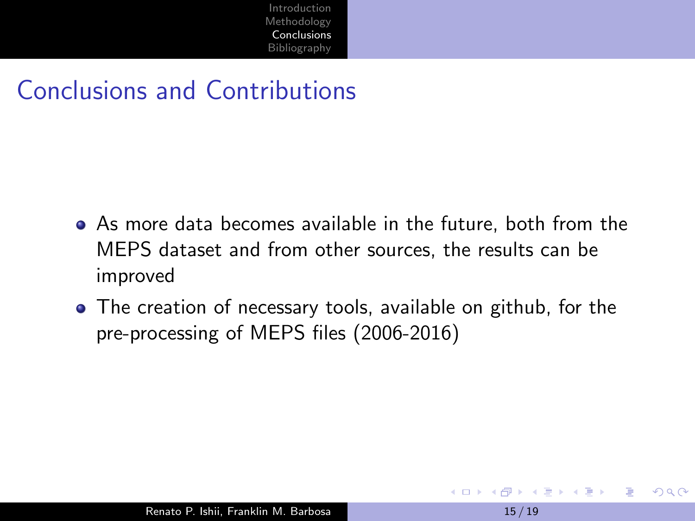### Conclusions and Contributions

- As more data becomes available in the future, both from the MEPS dataset and from other sources, the results can be improved
- The creation of necessary tools, available on github, for the pre-processing of MEPS files (2006-2016)

押 ▶ イヨ ▶ イヨ ▶ .

 $\Omega$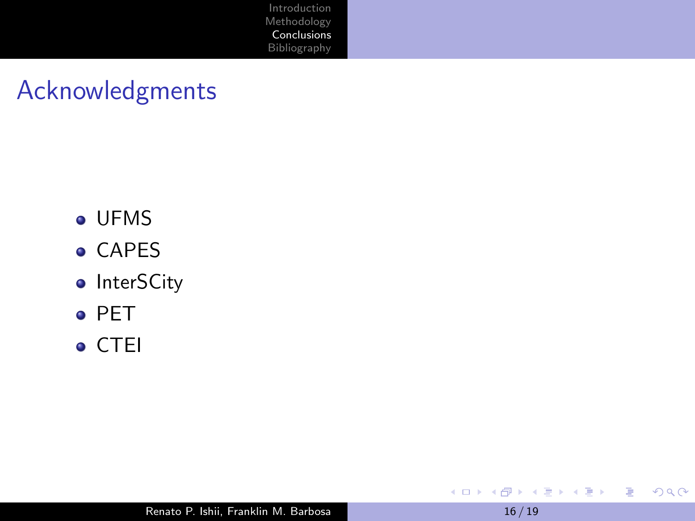### Acknowledgments

- UFMS
- **CAPES**
- InterSCity
- o PET
- CTEI

目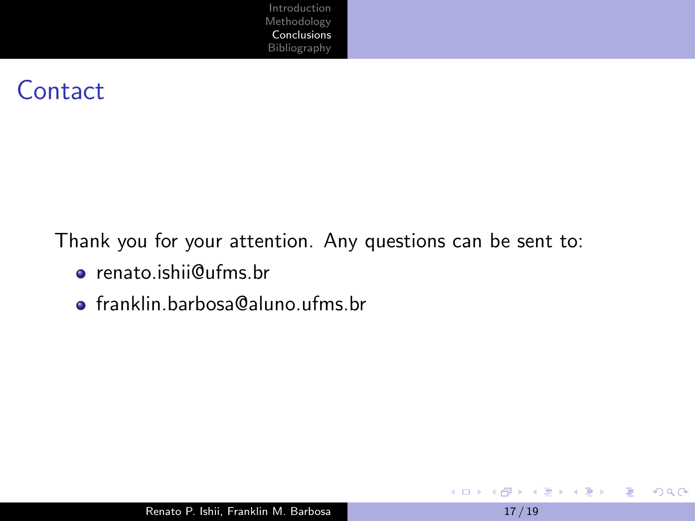#### **Contact**

Thank you for your attention. Any questions can be sent to:

- renato.ishii@ufms.br
- franklin.barbosa@aluno.ufms.br

E

 $QQ$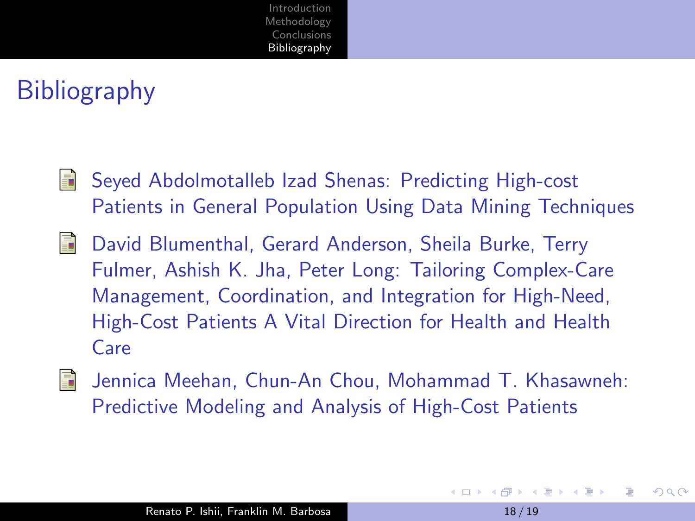# <span id="page-17-0"></span>**Bibliography**

- S. Seyed Abdolmotalleb Izad Shenas: Predicting High-cost Patients in General Population Using Data Mining Techniques
- 螶 David Blumenthal, Gerard Anderson, Sheila Burke, Terry Fulmer, Ashish K. Jha, Peter Long: Tailoring Complex-Care Management, Coordination, and Integration for High-Need, High-Cost Patients A Vital Direction for Health and Health Care



Jennica Meehan, Chun-An Chou, Mohammad T. Khasawneh: Predictive Modeling and Analysis of High-Cost Patients

 $\Omega$